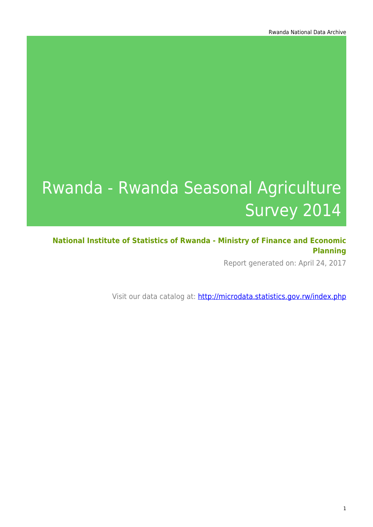# Rwanda - Rwanda Seasonal Agriculture Survey 2014

**National Institute of Statistics of Rwanda - Ministry of Finance and Economic Planning**

Report generated on: April 24, 2017

Visit our data catalog at: http://microdata.statistics.gov.rw/index.php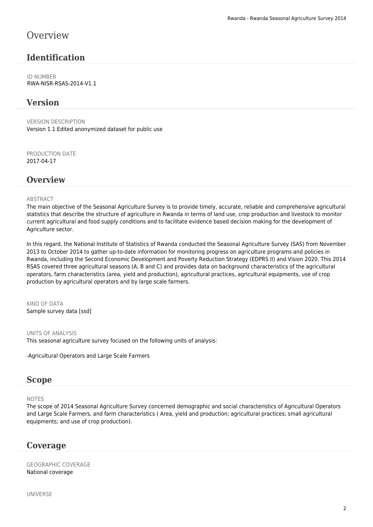#### **Overview**

#### **Identification**

ID NUMBER RWA-NISR-RSAS-2014-V1.1

#### **Version**

VERSION DESCRIPTION Version 1.1 Edited anonymized dataset for public use

PRODUCTION DATE 2017-04-17

#### **Overview**

#### **ABSTRACT**

The main objective of the Seasonal Agriculture Survey is to provide timely, accurate, reliable and comprehensive agricultural statistics that describe the structure of agriculture in Rwanda in terms of land use, crop production and livestock to monitor current agricultural and food supply conditions and to facilitate evidence based decision making for the development of Agriculture sector.

In this regard, the National Institute of Statistics of Rwanda conducted the Seasonal Agriculture Survey (SAS) from November 2013 to October 2014 to gather up-to-date information for monitoring progress on agriculture programs and policies in Rwanda, including the Second Economic Development and Poverty Reduction Strategy (EDPRS II) and Vision 2020. This 2014 RSAS covered three agricultural seasons (A, B and C) and provides data on background characteristics of the agricultural operators, farm characteristics (area, yield and production), agricultural practices, agricultural equipments, use of crop production by agricultural operators and by large scale farmers.

KIND OF DATA Sample survey data [ssd]

UNITS OF ANALYSIS This seasonal agriculture survey focused on the following units of analysis:

-Agricultural Operators and Large Scale Farmers

#### **Scope**

#### NOTES

The scope of 2014 Seasonal Agriculture Survey concerned demographic and social characteristics of Agricultural Operators and Large Scale Farmers, and farm characteristics ( Area, yield and production; agricultural practices; small agricultural equipments; and use of crop production).

#### **Coverage**

GEOGRAPHIC COVERAGE National coverage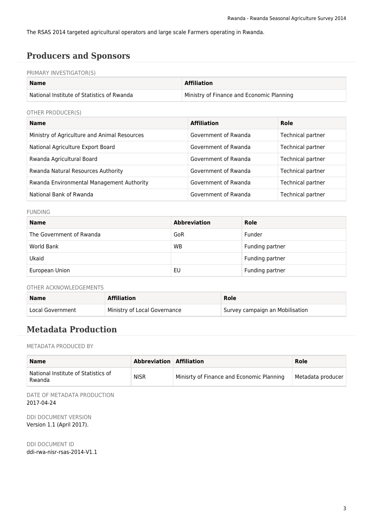The RSAS 2014 targeted agricultural operators and large scale Farmers operating in Rwanda.

### **Producers and Sponsors**

PRIMARY INVESTIGATOR(S)

| <b>Name</b>                                | <b>Affiliation</b>                        |
|--------------------------------------------|-------------------------------------------|
| National Institute of Statistics of Rwanda | Ministry of Finance and Economic Planning |

#### OTHER PRODUCER(S)

| <b>Name</b>                                  | <b>Affiliation</b>   | Role              |
|----------------------------------------------|----------------------|-------------------|
| Ministry of Agriculture and Animal Resources | Government of Rwanda | Technical partner |
| National Agriculture Export Board            | Government of Rwanda | Technical partner |
| Rwanda Agricultural Board                    | Government of Rwanda | Technical partner |
| Rwanda Natural Resources Authority           | Government of Rwanda | Technical partner |
| Rwanda Environmental Management Authority    | Government of Rwanda | Technical partner |
| National Bank of Rwanda                      | Government of Rwanda | Technical partner |

#### FUNDING

| <b>Name</b>              | <b>Abbreviation</b> | <b>Role</b>     |
|--------------------------|---------------------|-----------------|
| The Government of Rwanda | GoR                 | Funder          |
| World Bank               | <b>WB</b>           | Funding partner |
| Ukaid                    |                     | Funding partner |
| European Union           | EU                  | Funding partner |

#### OTHER ACKNOWLEDGEMENTS

| <b>Name</b>      | <b>Affiliation</b>           | Role                            |
|------------------|------------------------------|---------------------------------|
| Local Government | Ministry of Local Governance | Survey campaign an Mobilisation |

### **Metadata Production**

#### METADATA PRODUCED BY

| <b>Name</b>                                   | Abbreviation   Affiliation |                                           | Role              |
|-----------------------------------------------|----------------------------|-------------------------------------------|-------------------|
| National Institute of Statistics of<br>Rwanda | <b>NISR</b>                | Minisrty of Finance and Economic Planning | Metadata producer |

DATE OF METADATA PRODUCTION 2017-04-24

DDI DOCUMENT VERSION Version 1.1 (April 2017).

DDI DOCUMENT ID ddi-rwa-nisr-rsas-2014-V1.1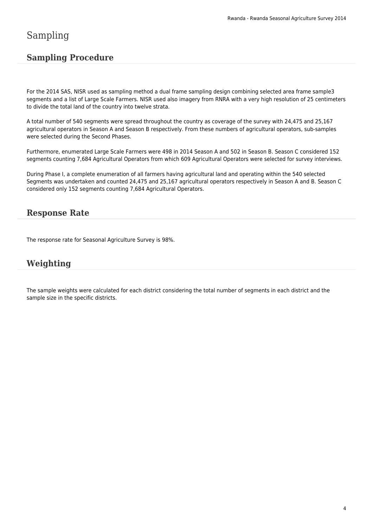# Sampling

### **Sampling Procedure**

For the 2014 SAS, NISR used as sampling method a dual frame sampling design combining selected area frame sample3 segments and a list of Large Scale Farmers. NISR used also imagery from RNRA with a very high resolution of 25 centimeters to divide the total land of the country into twelve strata.

A total number of 540 segments were spread throughout the country as coverage of the survey with 24,475 and 25,167 agricultural operators in Season A and Season B respectively. From these numbers of agricultural operators, sub-samples were selected during the Second Phases.

Furthermore, enumerated Large Scale Farmers were 498 in 2014 Season A and 502 in Season B. Season C considered 152 segments counting 7,684 Agricultural Operators from which 609 Agricultural Operators were selected for survey interviews.

During Phase I, a complete enumeration of all farmers having agricultural land and operating within the 540 selected Segments was undertaken and counted 24,475 and 25,167 agricultural operators respectively in Season A and B. Season C considered only 152 segments counting 7,684 Agricultural Operators.

#### **Response Rate**

The response rate for Seasonal Agriculture Survey is 98%.

#### **Weighting**

The sample weights were calculated for each district considering the total number of segments in each district and the sample size in the specific districts.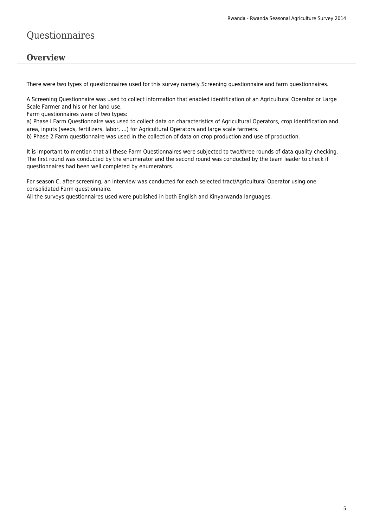# Questionnaires

#### **Overview**

There were two types of questionnaires used for this survey namely Screening questionnaire and farm questionnaires.

A Screening Questionnaire was used to collect information that enabled identification of an Agricultural Operator or Large Scale Farmer and his or her land use.

Farm questionnaires were of two types:

a) Phase I Farm Questionnaire was used to collect data on characteristics of Agricultural Operators, crop identification and area, inputs (seeds, fertilizers, labor, …) for Agricultural Operators and large scale farmers.

b) Phase 2 Farm questionnaire was used in the collection of data on crop production and use of production.

It is important to mention that all these Farm Questionnaires were subjected to two/three rounds of data quality checking. The first round was conducted by the enumerator and the second round was conducted by the team leader to check if questionnaires had been well completed by enumerators.

For season C, after screening, an interview was conducted for each selected tract/Agricultural Operator using one consolidated Farm questionnaire.

All the surveys questionnaires used were published in both English and Kinyarwanda languages.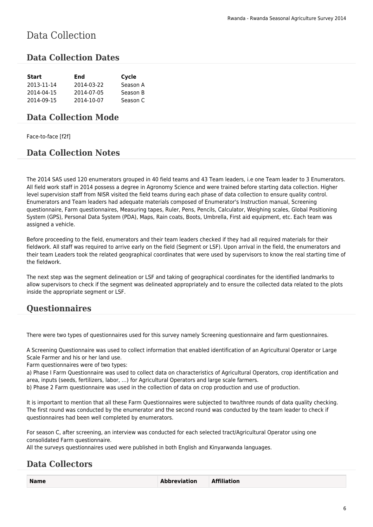# Data Collection

#### **Data Collection Dates**

| <b>Start</b> | End        | Cycle    |
|--------------|------------|----------|
| 2013-11-14   | 2014-03-22 | Season A |
| 2014-04-15   | 2014-07-05 | Season B |
| 2014-09-15   | 2014-10-07 | Season C |

#### **Data Collection Mode**

Face-to-face [f2f]

#### **Data Collection Notes**

The 2014 SAS used 120 enumerators grouped in 40 field teams and 43 Team leaders, i.e one Team leader to 3 Enumerators. All field work staff in 2014 possess a degree in Agronomy Science and were trained before starting data collection. Higher level supervision staff from NISR visited the field teams during each phase of data collection to ensure quality control. Enumerators and Team leaders had adequate materials composed of Enumerator's Instruction manual, Screening questionnaire, Farm questionnaires, Measuring tapes, Ruler, Pens, Pencils, Calculator, Weighing scales, Global Positioning System (GPS), Personal Data System (PDA), Maps, Rain coats, Boots, Umbrella, First aid equipment, etc. Each team was assigned a vehicle.

Before proceeding to the field, enumerators and their team leaders checked if they had all required materials for their fieldwork. All staff was required to arrive early on the field (Segment or LSF). Upon arrival in the field, the enumerators and their team Leaders took the related geographical coordinates that were used by supervisors to know the real starting time of the fieldwork.

The next step was the segment delineation or LSF and taking of geographical coordinates for the identified landmarks to allow supervisors to check if the segment was delineated appropriately and to ensure the collected data related to the plots inside the appropriate segment or LSF.

#### **Questionnaires**

There were two types of questionnaires used for this survey namely Screening questionnaire and farm questionnaires.

A Screening Questionnaire was used to collect information that enabled identification of an Agricultural Operator or Large Scale Farmer and his or her land use.

Farm questionnaires were of two types:

a) Phase I Farm Questionnaire was used to collect data on characteristics of Agricultural Operators, crop identification and area, inputs (seeds, fertilizers, labor, …) for Agricultural Operators and large scale farmers.

b) Phase 2 Farm questionnaire was used in the collection of data on crop production and use of production.

It is important to mention that all these Farm Questionnaires were subjected to two/three rounds of data quality checking. The first round was conducted by the enumerator and the second round was conducted by the team leader to check if questionnaires had been well completed by enumerators.

For season C, after screening, an interview was conducted for each selected tract/Agricultural Operator using one consolidated Farm questionnaire.

All the surveys questionnaires used were published in both English and Kinyarwanda languages.

#### **Data Collectors**

| <b>Name</b> | <b>Abbreviation</b> | Affiliation |
|-------------|---------------------|-------------|
|-------------|---------------------|-------------|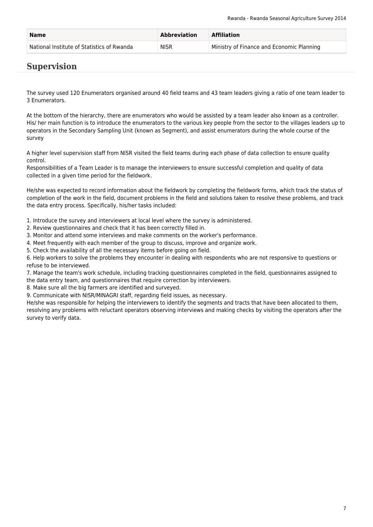| <b>Name</b>                                | Abbreviation | <b>Affiliation</b>                        |
|--------------------------------------------|--------------|-------------------------------------------|
| National Institute of Statistics of Rwanda | <b>NISR</b>  | Ministry of Finance and Economic Planning |

#### **Supervision**

The survey used 120 Enumerators organised around 40 field teams and 43 team leaders giving a ratio of one team leader to 3 Enumerators.

At the bottom of the hierarchy, there are enumerators who would be assisted by a team leader also known as a controller. His/ her main function is to introduce the enumerators to the various key people from the sector to the villages leaders up to operators in the Secondary Sampling Unit (known as Segment), and assist enumerators during the whole course of the survey

A higher level supervision staff from NISR visited the field teams during each phase of data collection to ensure quality control.

Responsibilities of a Team Leader is to manage the interviewers to ensure successful completion and quality of data collected in a given time period for the fieldwork.

He/she was expected to record information about the fieldwork by completing the fieldwork forms, which track the status of completion of the work in the field, document problems in the field and solutions taken to resolve these problems, and track the data entry process. Specifically, his/her tasks included:

1. Introduce the survey and interviewers at local level where the survey is administered.

- 2. Review questionnaires and check that it has been correctly filled in.
- 3. Monitor and attend some interviews and make comments on the worker's performance.
- 4. Meet frequently with each member of the group to discuss, improve and organize work.
- 5. Check the availability of all the necessary items before going on field.

6. Help workers to solve the problems they encounter in dealing with respondents who are not responsive to questions or refuse to be interviewed.

7. Manage the team's work schedule, including tracking questionnaires completed in the field, questionnaires assigned to the data entry team, and questionnaires that require correction by interviewers.

8. Make sure all the big farmers are identified and surveyed.

9. Communicate with NISR/MINAGRI staff, regarding field issues, as necessary.

He/she was responsible for helping the interviewers to identify the segments and tracts that have been allocated to them, resolving any problems with reluctant operators observing interviews and making checks by visiting the operators after the survey to verify data.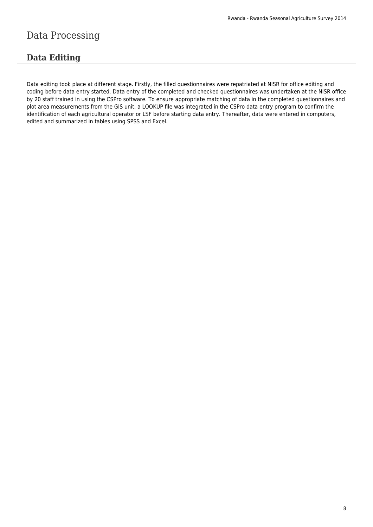### Data Processing

### **Data Editing**

Data editing took place at different stage. Firstly, the filled questionnaires were repatriated at NISR for office editing and coding before data entry started. Data entry of the completed and checked questionnaires was undertaken at the NISR office by 20 staff trained in using the CSPro software. To ensure appropriate matching of data in the completed questionnaires and plot area measurements from the GIS unit, a LOOKUP file was integrated in the CSPro data entry program to confirm the identification of each agricultural operator or LSF before starting data entry. Thereafter, data were entered in computers, edited and summarized in tables using SPSS and Excel.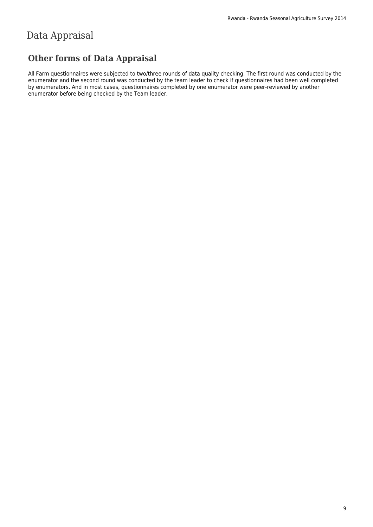### Data Appraisal

### **Other forms of Data Appraisal**

All Farm questionnaires were subjected to two/three rounds of data quality checking. The first round was conducted by the enumerator and the second round was conducted by the team leader to check if questionnaires had been well completed by enumerators. And in most cases, questionnaires completed by one enumerator were peer-reviewed by another enumerator before being checked by the Team leader.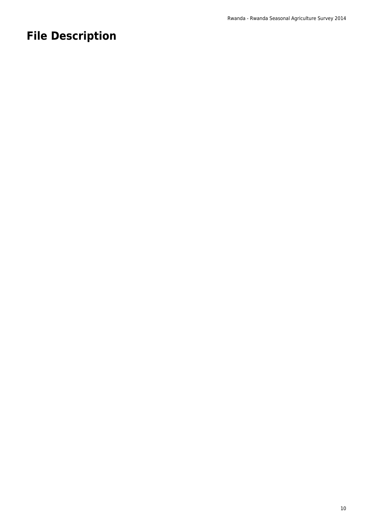# **File Description**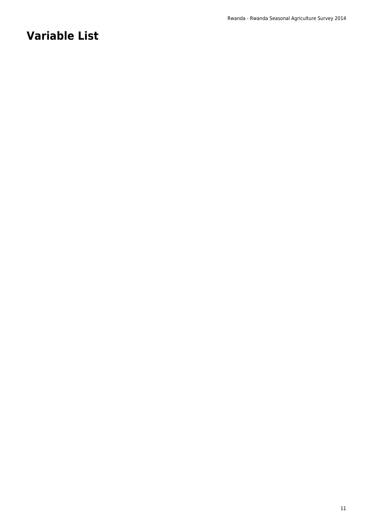# **Variable List**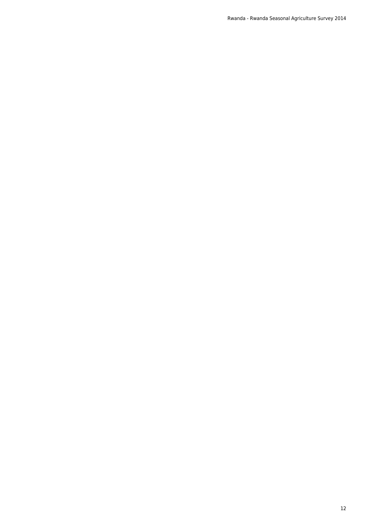Rwanda - Rwanda Seasonal Agriculture Survey 2014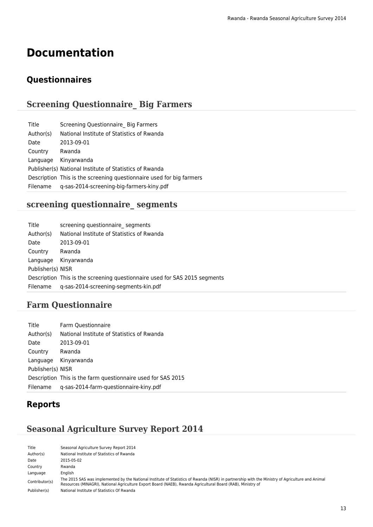# **Documentation**

#### **Questionnaires**

# **Screening Questionnaire\_ Big Farmers**

| Title     | Screening Questionnaire Big Farmers                                  |
|-----------|----------------------------------------------------------------------|
| Author(s) | National Institute of Statistics of Rwanda                           |
| Date      | 2013-09-01                                                           |
| Country   | Rwanda                                                               |
| Language  | Kinyarwanda                                                          |
|           | Publisher(s) National Institute of Statistics of Rwanda              |
|           | Description This is the screening questionnaire used for big farmers |
| Filename  | g-sas-2014-screening-big-farmers-kiny.pdf                            |

### **screening questionnaire\_ segments**

| Title             | screening questionnaire segments                                           |
|-------------------|----------------------------------------------------------------------------|
| Author(s)         | National Institute of Statistics of Rwanda                                 |
| Date              | 2013-09-01                                                                 |
| Country           | Rwanda                                                                     |
| Language          | Kinyarwanda                                                                |
| Publisher(s) NISR |                                                                            |
|                   | Description This is the screening questionnaire used for SAS 2015 segments |
| Filename          | q-sas-2014-screening-segments-kin.pdf                                      |

#### **Farm Questionnaire**

| <b>Farm Questionnaire</b>                                    |
|--------------------------------------------------------------|
| National Institute of Statistics of Rwanda                   |
| 2013-09-01                                                   |
| Rwanda                                                       |
| Kinyarwanda<br>Language                                      |
| Publisher(s) NISR                                            |
| Description This is the farm questionnaire used for SAS 2015 |
| g-sas-2014-farm-questionnaire-kiny.pdf                       |
|                                                              |

### **Reports**

### **Seasonal Agriculture Survey Report 2014**

| Title          | Seasonal Agriculture Survey Report 2014                                                                                                                                                                                                                         |
|----------------|-----------------------------------------------------------------------------------------------------------------------------------------------------------------------------------------------------------------------------------------------------------------|
| Author(s)      | National Institute of Statistics of Rwanda                                                                                                                                                                                                                      |
| Date           | 2015-05-02                                                                                                                                                                                                                                                      |
| Country        | Rwanda                                                                                                                                                                                                                                                          |
| Language       | English                                                                                                                                                                                                                                                         |
| Contributor(s) | The 2015 SAS was implemented by the National Institute of Statistics of Rwanda (NISR) in partnership with the Ministry of Agriculture and Animal<br>Resources (MINAGRI), National Agriculture Export Board (NAEB), Rwanda Agricultural Board (RAB), Ministry of |
| Publisher(s)   | National Institute of Statistics Of Rwanda                                                                                                                                                                                                                      |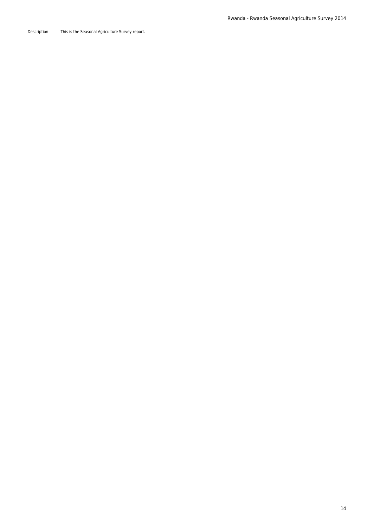Description This is the Seasonal Agriculture Survey report.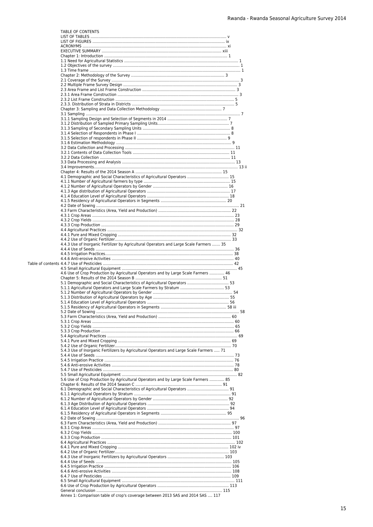|  | TABLE OF CONTENTS                                                                        |  |
|--|------------------------------------------------------------------------------------------|--|
|  |                                                                                          |  |
|  |                                                                                          |  |
|  |                                                                                          |  |
|  |                                                                                          |  |
|  |                                                                                          |  |
|  |                                                                                          |  |
|  |                                                                                          |  |
|  |                                                                                          |  |
|  |                                                                                          |  |
|  |                                                                                          |  |
|  |                                                                                          |  |
|  |                                                                                          |  |
|  |                                                                                          |  |
|  |                                                                                          |  |
|  |                                                                                          |  |
|  |                                                                                          |  |
|  |                                                                                          |  |
|  |                                                                                          |  |
|  |                                                                                          |  |
|  |                                                                                          |  |
|  |                                                                                          |  |
|  |                                                                                          |  |
|  | 4.1 Demographic and Social Characteristics of Agricultural Operators  15                 |  |
|  |                                                                                          |  |
|  |                                                                                          |  |
|  |                                                                                          |  |
|  |                                                                                          |  |
|  |                                                                                          |  |
|  |                                                                                          |  |
|  |                                                                                          |  |
|  |                                                                                          |  |
|  |                                                                                          |  |
|  |                                                                                          |  |
|  | 4.4.3 Use of Inorganic Fertilizer by Agricultural Operators and Large Scale Farmers  35  |  |
|  |                                                                                          |  |
|  |                                                                                          |  |
|  |                                                                                          |  |
|  | 4.6 Use of Crop Production by Agricultural Operators and by Large Scale Farmers  46      |  |
|  |                                                                                          |  |
|  |                                                                                          |  |
|  |                                                                                          |  |
|  |                                                                                          |  |
|  |                                                                                          |  |
|  |                                                                                          |  |
|  |                                                                                          |  |
|  |                                                                                          |  |
|  |                                                                                          |  |
|  |                                                                                          |  |
|  |                                                                                          |  |
|  |                                                                                          |  |
|  | 5.4.3 Use of Inorganic Fertilizers by Agricultural Operators and Large Scale Farmers  71 |  |
|  |                                                                                          |  |
|  |                                                                                          |  |
|  |                                                                                          |  |
|  | 5.6 Use of Crop Production by Agricultural Operators and by Large Scale Farmers  85      |  |
|  |                                                                                          |  |
|  |                                                                                          |  |
|  |                                                                                          |  |
|  |                                                                                          |  |
|  |                                                                                          |  |
|  |                                                                                          |  |
|  |                                                                                          |  |
|  |                                                                                          |  |
|  |                                                                                          |  |
|  |                                                                                          |  |
|  |                                                                                          |  |
|  |                                                                                          |  |
|  |                                                                                          |  |
|  |                                                                                          |  |
|  |                                                                                          |  |
|  |                                                                                          |  |
|  |                                                                                          |  |
|  |                                                                                          |  |
|  | $1.1.1.1.1.1.0.010$ $0.010$ $0.010$ $0.014$ $0.001$                                      |  |

Annex 1: Comparison table of crop's coverage between 2013 SAS and 2014 SAS .... 117